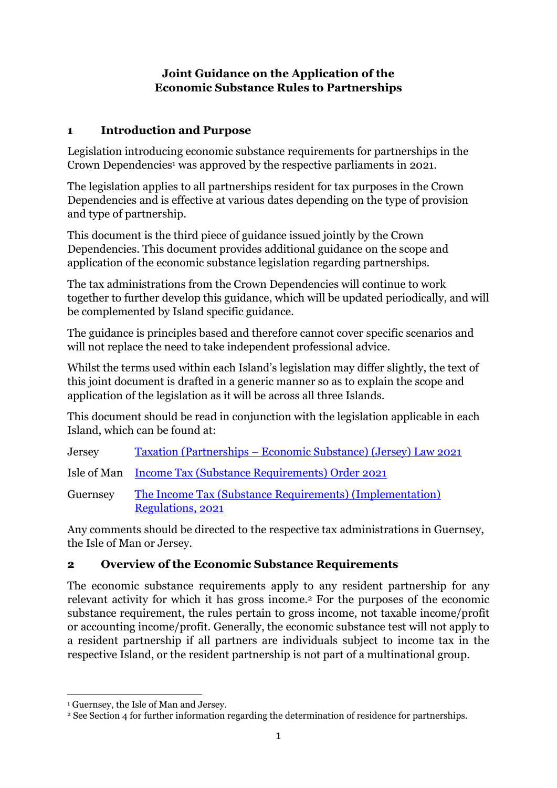### **Joint Guidance on the Application of the Economic Substance Rules to Partnerships**

# **1 Introduction and Purpose**

Legislation introducing economic substance requirements for partnerships in the Crown Dependencies<sup>1</sup> was approved by the respective parliaments in 2021.

The legislation applies to all partnerships resident for tax purposes in the Crown Dependencies and is effective at various dates depending on the type of provision and type of partnership.

This document is the third piece of guidance issued jointly by the Crown Dependencies. This document provides additional guidance on the scope and application of the economic substance legislation regarding partnerships.

The tax administrations from the Crown Dependencies will continue to work together to further develop this guidance, which will be updated periodically, and will be complemented by Island specific guidance.

The guidance is principles based and therefore cannot cover specific scenarios and will not replace the need to take independent professional advice.

Whilst the terms used within each Island's legislation may differ slightly, the text of this joint document is drafted in a generic manner so as to explain the scope and application of the legislation as it will be across all three Islands.

This document should be read in conjunction with the legislation applicable in each Island, which can be found at:

Jersey Taxation (Partnerships – [Economic Substance\) \(Jersey\) Law 2021](https://www.jerseylaw.je/laws/current/Pages/24.990.aspx)

Isle of Man [Income Tax \(Substance Requirements\) Order 2021](https://www.gov.im/media/1373285/sd-2021-0156-incometax-substance-requirements-order-2021.pdf)

Guernsey [The Income Tax \(Substance Requirements\) \(Implementation\)](https://www.gov.gg/CHttpHandler.ashx?id=141223&p=0)  [Regulations, 2021](https://www.gov.gg/CHttpHandler.ashx?id=141223&p=0)

Any comments should be directed to the respective tax administrations in Guernsey, the Isle of Man or Jersey.

# **2 Overview of the Economic Substance Requirements**

The economic substance requirements apply to any resident partnership for any relevant activity for which it has gross income.<sup>2</sup> For the purposes of the economic substance requirement, the rules pertain to gross income, not taxable income/profit or accounting income/profit. Generally, the economic substance test will not apply to a resident partnership if all partners are individuals subject to income tax in the respective Island, or the resident partnership is not part of a multinational group.

<sup>1</sup> Guernsey, the Isle of Man and Jersey.

<sup>2</sup> See Section 4 for further information regarding the determination of residence for partnerships.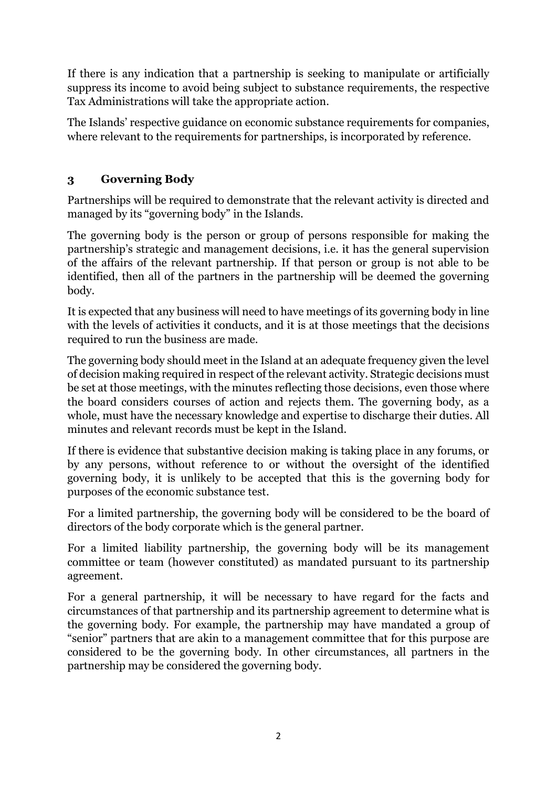If there is any indication that a partnership is seeking to manipulate or artificially suppress its income to avoid being subject to substance requirements, the respective Tax Administrations will take the appropriate action.

The Islands' respective guidance on economic substance requirements for companies, where relevant to the requirements for partnerships, is incorporated by reference.

# **3 Governing Body**

Partnerships will be required to demonstrate that the relevant activity is directed and managed by its "governing body" in the Islands.

The governing body is the person or group of persons responsible for making the partnership's strategic and management decisions, i.e. it has the general supervision of the affairs of the relevant partnership. If that person or group is not able to be identified, then all of the partners in the partnership will be deemed the governing body.

It is expected that any business will need to have meetings of its governing body in line with the levels of activities it conducts, and it is at those meetings that the decisions required to run the business are made.

The governing body should meet in the Island at an adequate frequency given the level of decision making required in respect of the relevant activity. Strategic decisions must be set at those meetings, with the minutes reflecting those decisions, even those where the board considers courses of action and rejects them. The governing body, as a whole, must have the necessary knowledge and expertise to discharge their duties. All minutes and relevant records must be kept in the Island.

If there is evidence that substantive decision making is taking place in any forums, or by any persons, without reference to or without the oversight of the identified governing body, it is unlikely to be accepted that this is the governing body for purposes of the economic substance test.

For a limited partnership, the governing body will be considered to be the board of directors of the body corporate which is the general partner.

For a limited liability partnership, the governing body will be its management committee or team (however constituted) as mandated pursuant to its partnership agreement.

For a general partnership, it will be necessary to have regard for the facts and circumstances of that partnership and its partnership agreement to determine what is the governing body. For example, the partnership may have mandated a group of "senior" partners that are akin to a management committee that for this purpose are considered to be the governing body. In other circumstances, all partners in the partnership may be considered the governing body.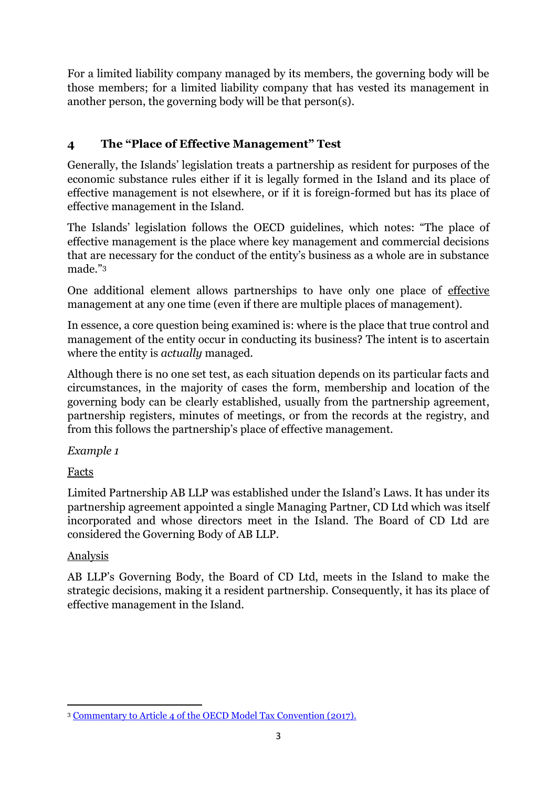For a limited liability company managed by its members, the governing body will be those members; for a limited liability company that has vested its management in another person, the governing body will be that person(s).

# **4 The "Place of Effective Management" Test**

Generally, the Islands' legislation treats a partnership as resident for purposes of the economic substance rules either if it is legally formed in the Island and its place of effective management is not elsewhere, or if it is foreign-formed but has its place of effective management in the Island.

The Islands' legislation follows the OECD guidelines, which notes: "The place of effective management is the place where key management and commercial decisions that are necessary for the conduct of the entity's business as a whole are in substance made."<sup>3</sup>

One additional element allows partnerships to have only one place of effective management at any one time (even if there are multiple places of management).

In essence, a core question being examined is: where is the place that true control and management of the entity occur in conducting its business? The intent is to ascertain where the entity is *actually* managed.

Although there is no one set test, as each situation depends on its particular facts and circumstances, in the majority of cases the form, membership and location of the governing body can be clearly established, usually from the partnership agreement, partnership registers, minutes of meetings, or from the records at the registry, and from this follows the partnership's place of effective management.

*Example 1*

Facts

Limited Partnership AB LLP was established under the Island's Laws. It has under its partnership agreement appointed a single Managing Partner, CD Ltd which was itself incorporated and whose directors meet in the Island. The Board of CD Ltd are considered the Governing Body of AB LLP.

# Analysis

AB LLP's Governing Body, the Board of CD Ltd, meets in the Island to make the strategic decisions, making it a resident partnership. Consequently, it has its place of effective management in the Island.

<sup>3</sup> [Commentary to Article 4 of the OECD Model Tax Convention \(2017\).](https://read.oecd-ilibrary.org/taxation/model-tax-convention-on-income-and-on-capital-condensed-version-2017_mtc_cond-2017-en#page107)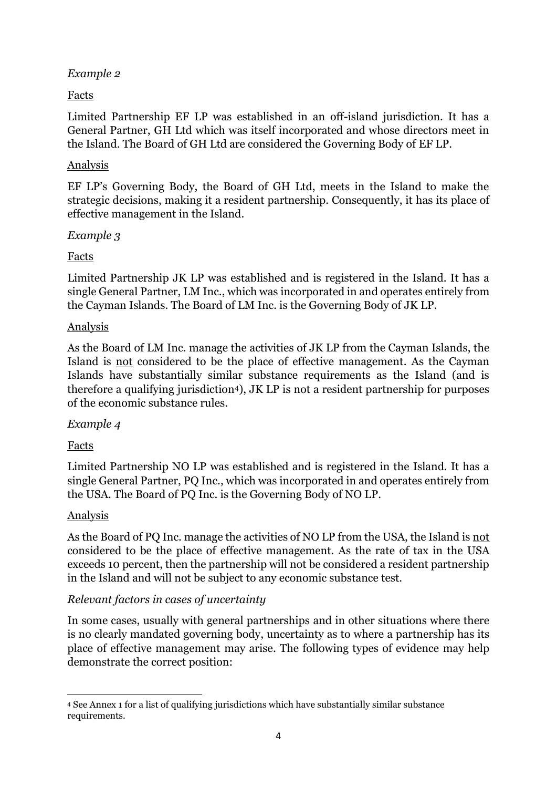### *Example 2*

### Facts

Limited Partnership EF LP was established in an off-island jurisdiction. It has a General Partner, GH Ltd which was itself incorporated and whose directors meet in the Island. The Board of GH Ltd are considered the Governing Body of EF LP.

### Analysis

EF LP's Governing Body, the Board of GH Ltd, meets in the Island to make the strategic decisions, making it a resident partnership. Consequently, it has its place of effective management in the Island.

### *Example 3*

# Facts

Limited Partnership JK LP was established and is registered in the Island. It has a single General Partner, LM Inc., which was incorporated in and operates entirely from the Cayman Islands. The Board of LM Inc. is the Governing Body of JK LP.

### Analysis

As the Board of LM Inc. manage the activities of JK LP from the Cayman Islands, the Island is not considered to be the place of effective management. As the Cayman Islands have substantially similar substance requirements as the Island (and is therefore a qualifying jurisdiction4), JK LP is not a resident partnership for purposes of the economic substance rules.

#### *Example 4*

# Facts

Limited Partnership NO LP was established and is registered in the Island. It has a single General Partner, PQ Inc., which was incorporated in and operates entirely from the USA. The Board of PQ Inc. is the Governing Body of NO LP.

# Analysis

As the Board of PQ Inc. manage the activities of NO LP from the USA, the Island is not considered to be the place of effective management. As the rate of tax in the USA exceeds 10 percent, then the partnership will not be considered a resident partnership in the Island and will not be subject to any economic substance test.

# *Relevant factors in cases of uncertainty*

In some cases, usually with general partnerships and in other situations where there is no clearly mandated governing body, uncertainty as to where a partnership has its place of effective management may arise. The following types of evidence may help demonstrate the correct position:

<sup>4</sup> See Annex 1 for a list of qualifying jurisdictions which have substantially similar substance requirements.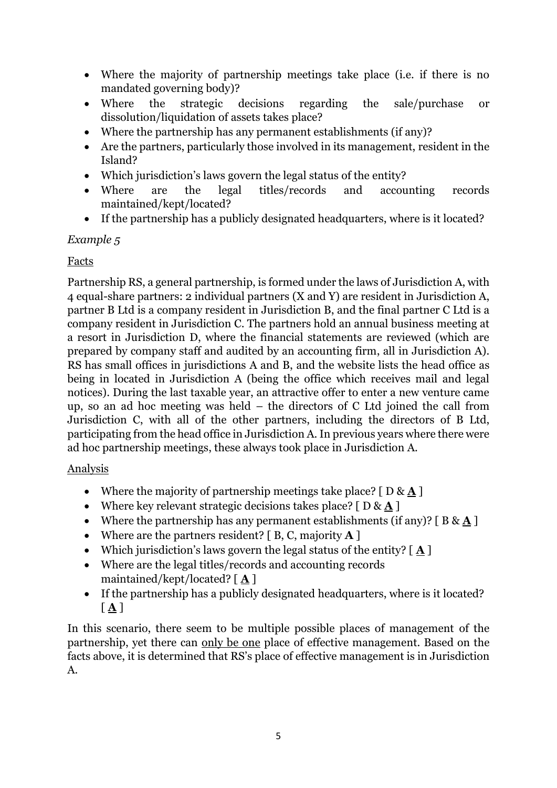- Where the majority of partnership meetings take place (i.e. if there is no mandated governing body)?
- Where the strategic decisions regarding the sale/purchase or dissolution/liquidation of assets takes place?
- Where the partnership has any permanent establishments (if any)?
- Are the partners, particularly those involved in its management, resident in the Island?
- Which jurisdiction's laws govern the legal status of the entity?
- Where are the legal titles/records and accounting records maintained/kept/located?
- If the partnership has a publicly designated headquarters, where is it located?

*Example 5*

#### Facts

Partnership RS, a general partnership, is formed under the laws of Jurisdiction A, with 4 equal-share partners: 2 individual partners (X and Y) are resident in Jurisdiction A, partner B Ltd is a company resident in Jurisdiction B, and the final partner C Ltd is a company resident in Jurisdiction C. The partners hold an annual business meeting at a resort in Jurisdiction D, where the financial statements are reviewed (which are prepared by company staff and audited by an accounting firm, all in Jurisdiction A). RS has small offices in jurisdictions A and B, and the website lists the head office as being in located in Jurisdiction A (being the office which receives mail and legal notices). During the last taxable year, an attractive offer to enter a new venture came up, so an ad hoc meeting was held – the directors of C Ltd joined the call from Jurisdiction C, with all of the other partners, including the directors of B Ltd, participating from the head office in Jurisdiction A. In previous years where there were ad hoc partnership meetings, these always took place in Jurisdiction A.

#### Analysis

- Where the majority of partnership meetings take place? [ D & **A** ]
- Where key relevant strategic decisions takes place? [ D & **A** ]
- Where the partnership has any permanent establishments (if any)?  $[B & A]$
- Where are the partners resident? [ B, C, majority **A** ]
- Which jurisdiction's laws govern the legal status of the entity? [ **A** ]
- Where are the legal titles/records and accounting records maintained/kept/located? [ **A** ]
- If the partnership has a publicly designated headquarters, where is it located? [ **A** ]

In this scenario, there seem to be multiple possible places of management of the partnership, yet there can only be one place of effective management. Based on the facts above, it is determined that RS's place of effective management is in Jurisdiction A.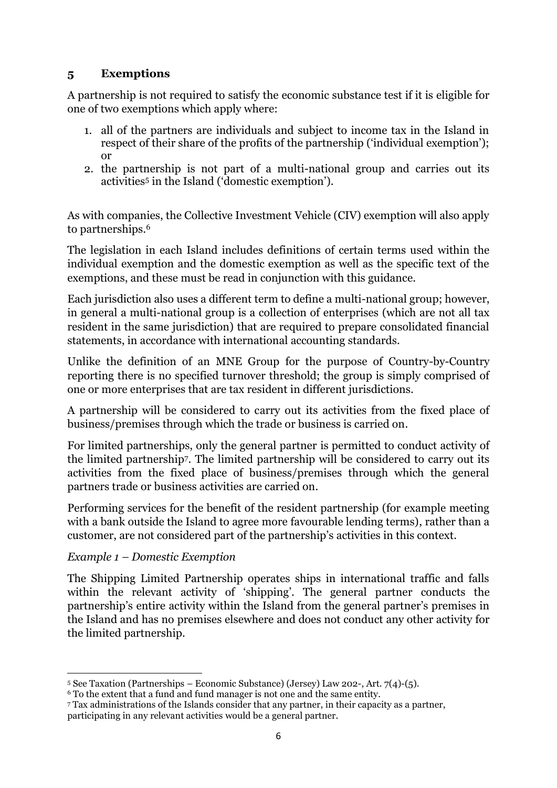#### **5 Exemptions**

A partnership is not required to satisfy the economic substance test if it is eligible for one of two exemptions which apply where:

- 1. all of the partners are individuals and subject to income tax in the Island in respect of their share of the profits of the partnership ('individual exemption'); or
- 2. the partnership is not part of a multi-national group and carries out its activities<sup>5</sup> in the Island ('domestic exemption').

As with companies, the Collective Investment Vehicle (CIV) exemption will also apply to partnerships.<sup>6</sup>

The legislation in each Island includes definitions of certain terms used within the individual exemption and the domestic exemption as well as the specific text of the exemptions, and these must be read in conjunction with this guidance.

Each jurisdiction also uses a different term to define a multi-national group; however, in general a multi-national group is a collection of enterprises (which are not all tax resident in the same jurisdiction) that are required to prepare consolidated financial statements, in accordance with international accounting standards.

Unlike the definition of an MNE Group for the purpose of Country-by-Country reporting there is no specified turnover threshold; the group is simply comprised of one or more enterprises that are tax resident in different jurisdictions.

A partnership will be considered to carry out its activities from the fixed place of business/premises through which the trade or business is carried on.

For limited partnerships, only the general partner is permitted to conduct activity of the limited partnership7. The limited partnership will be considered to carry out its activities from the fixed place of business/premises through which the general partners trade or business activities are carried on.

Performing services for the benefit of the resident partnership (for example meeting with a bank outside the Island to agree more favourable lending terms), rather than a customer, are not considered part of the partnership's activities in this context.

#### *Example 1 – Domestic Exemption*

The Shipping Limited Partnership operates ships in international traffic and falls within the relevant activity of 'shipping'. The general partner conducts the partnership's entire activity within the Island from the general partner's premises in the Island and has no premises elsewhere and does not conduct any other activity for the limited partnership.

<sup>5</sup> See Taxation (Partnerships – Economic Substance) (Jersey) Law 202-, Art. 7(4)-(5).

<sup>6</sup> To the extent that a fund and fund manager is not one and the same entity.

<sup>7</sup> Tax administrations of the Islands consider that any partner, in their capacity as a partner, participating in any relevant activities would be a general partner.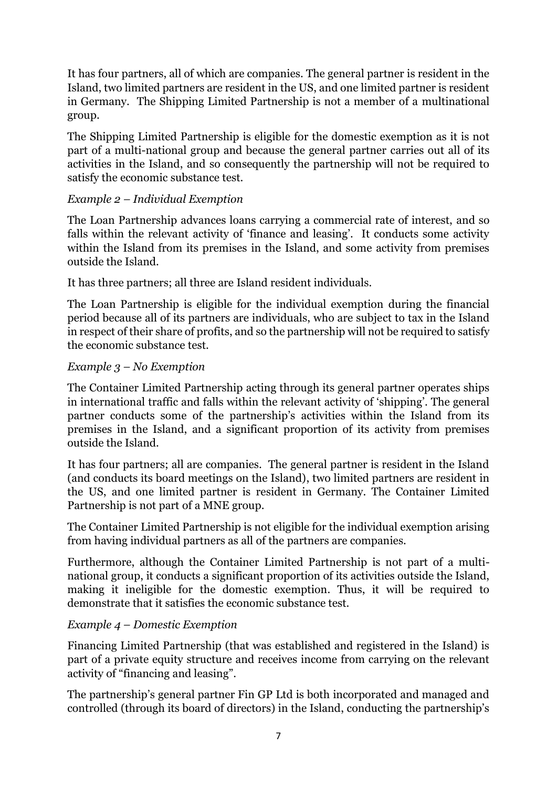It has four partners, all of which are companies. The general partner is resident in the Island, two limited partners are resident in the US, and one limited partner is resident in Germany. The Shipping Limited Partnership is not a member of a multinational group.

The Shipping Limited Partnership is eligible for the domestic exemption as it is not part of a multi-national group and because the general partner carries out all of its activities in the Island, and so consequently the partnership will not be required to satisfy the economic substance test.

### *Example 2 – Individual Exemption*

The Loan Partnership advances loans carrying a commercial rate of interest, and so falls within the relevant activity of 'finance and leasing'. It conducts some activity within the Island from its premises in the Island, and some activity from premises outside the Island.

It has three partners; all three are Island resident individuals.

The Loan Partnership is eligible for the individual exemption during the financial period because all of its partners are individuals, who are subject to tax in the Island in respect of their share of profits, and so the partnership will not be required to satisfy the economic substance test.

#### *Example 3 – No Exemption*

The Container Limited Partnership acting through its general partner operates ships in international traffic and falls within the relevant activity of 'shipping'. The general partner conducts some of the partnership's activities within the Island from its premises in the Island, and a significant proportion of its activity from premises outside the Island.

It has four partners; all are companies. The general partner is resident in the Island (and conducts its board meetings on the Island), two limited partners are resident in the US, and one limited partner is resident in Germany. The Container Limited Partnership is not part of a MNE group.

The Container Limited Partnership is not eligible for the individual exemption arising from having individual partners as all of the partners are companies.

Furthermore, although the Container Limited Partnership is not part of a multinational group, it conducts a significant proportion of its activities outside the Island, making it ineligible for the domestic exemption. Thus, it will be required to demonstrate that it satisfies the economic substance test.

# *Example 4 – Domestic Exemption*

Financing Limited Partnership (that was established and registered in the Island) is part of a private equity structure and receives income from carrying on the relevant activity of "financing and leasing".

The partnership's general partner Fin GP Ltd is both incorporated and managed and controlled (through its board of directors) in the Island, conducting the partnership's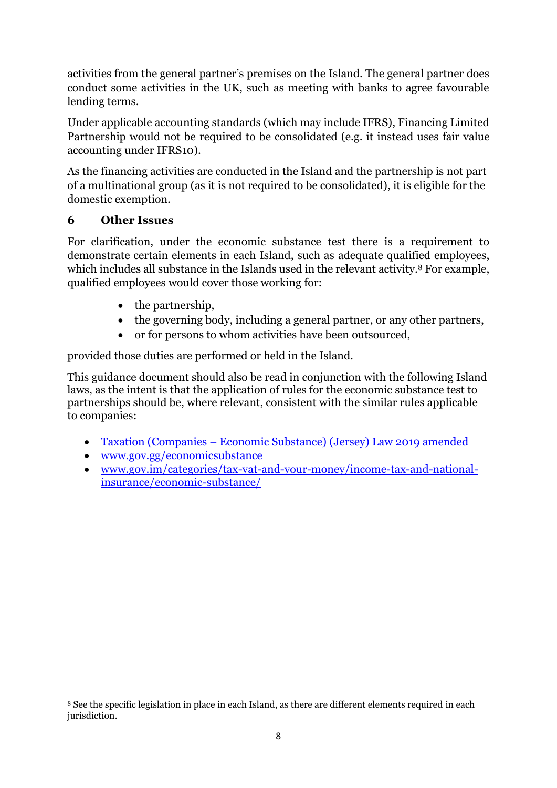activities from the general partner's premises on the Island. The general partner does conduct some activities in the UK, such as meeting with banks to agree favourable lending terms.

Under applicable accounting standards (which may include IFRS), Financing Limited Partnership would not be required to be consolidated (e.g. it instead uses fair value accounting under IFRS10).

As the financing activities are conducted in the Island and the partnership is not part of a multinational group (as it is not required to be consolidated), it is eligible for the domestic exemption.

# **6 Other Issues**

For clarification, under the economic substance test there is a requirement to demonstrate certain elements in each Island, such as adequate qualified employees, which includes all substance in the Islands used in the relevant activity.<sup>8</sup> For example, qualified employees would cover those working for:

- the partnership.
- the governing body, including a general partner, or any other partners,
- or for persons to whom activities have been outsourced,

provided those duties are performed or held in the Island.

This guidance document should also be read in conjunction with the following Island laws, as the intent is that the application of rules for the economic substance test to partnerships should be, where relevant, consistent with the similar rules applicable to companies:

- Taxation (Companies [Economic Substance\) \(Jersey\) Law 2019 amended](https://www.jerseylaw.je/laws/enacted/Pages/L-03-2019.aspx)
- [www.gov.gg/economicsubstance](http://www.gov.gg/economicsubstance)
- [www.gov.im/categories/tax-vat-and-your-money/income-tax-and-national](http://www.gov.im/categories/tax-vat-and-your-money/income-tax-and-national-insurance/economic-substance/)[insurance/economic-substance/](http://www.gov.im/categories/tax-vat-and-your-money/income-tax-and-national-insurance/economic-substance/)

<sup>8</sup> See the specific legislation in place in each Island, as there are different elements required in each jurisdiction.